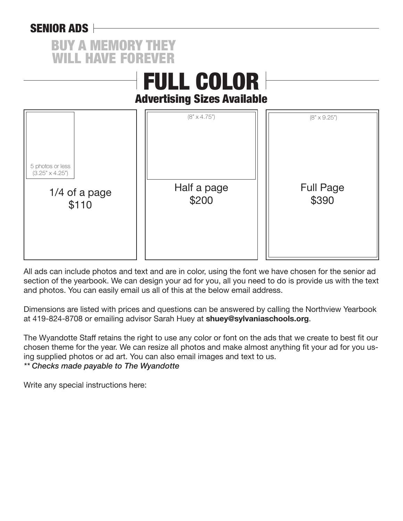## SENIOR ADS



|                                                                      | <b>FULL COLOR</b><br><b>Advertising Sizes Available</b> |                                                  |
|----------------------------------------------------------------------|---------------------------------------------------------|--------------------------------------------------|
| 5 photos or less<br>$(3.25" \times 4.25")$<br>1/4 of a page<br>\$110 | $(8" \times 4.75")$<br>Half a page<br>\$200             | $(8" \times 9.25")$<br><b>Full Page</b><br>\$390 |

All ads can include photos and text and are in color, using the font we have chosen for the senior ad section of the yearbook. We can design your ad for you, all you need to do is provide us with the text and photos. You can easily email us all of this at the below email address.

Dimensions are listed with prices and questions can be answered by calling the Northview Yearbook at 419-824-8708 or emailing advisor Sarah Huey at **shuey@sylvaniaschools.org**.

The Wyandotte Staff retains the right to use any color or font on the ads that we create to best fit our chosen theme for the year. We can resize all photos and make almost anything fit your ad for you using supplied photos or ad art. You can also email images and text to us. *\*\* Checks made payable to The Wyandotte*

Write any special instructions here: